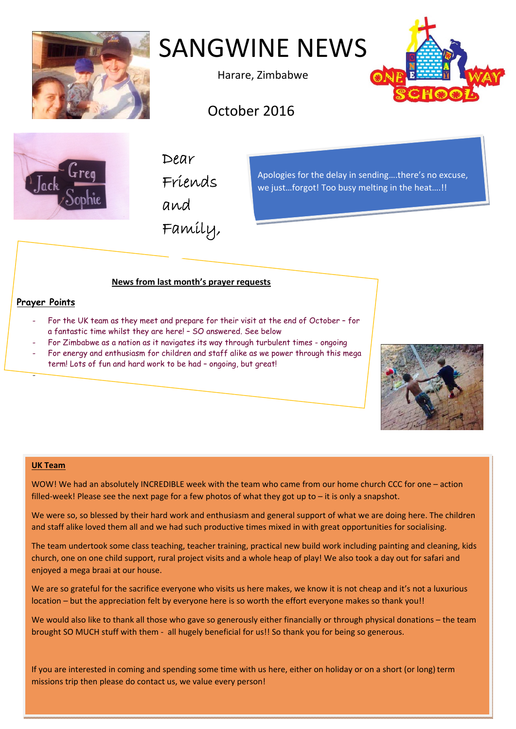

# SANGWINE NEWS

Harare, Zimbabwe



# October 2016



Dear Friends

and

Family,

Apologies for the delay in sending….there's no excuse, we just…forgot! Too busy melting in the heat….!!

## **News from last month's prayer requests**

### **Prayer Points**

-

- For the UK team as they meet and prepare for their visit at the end of October for a fantastic time whilst they are here! – SO answered. See below
- For Zimbabwe as a nation as it navigates its way through turbulent times ongoing
- For energy and enthusiasm for children and staff alike as we power through this mega term! Lots of fun and hard work to be had – ongoing, but great!



#### **UK Team**

WOW! We had an absolutely INCREDIBLE week with the team who came from our home church CCC for one – action filled-week! Please see the next page for a few photos of what they got up to – it is only a snapshot.

We were so, so blessed by their hard work and enthusiasm and general support of what we are doing here. The children and staff alike loved them all and we had such productive times mixed in with great opportunities for socialising.

The team undertook some class teaching, teacher training, practical new build work including painting and cleaning, kids church, one on one child support, rural project visits and a whole heap of play! We also took a day out for safari and enjoyed a mega braai at our house.

We are so grateful for the sacrifice everyone who visits us here makes, we know it is not cheap and it's not a luxurious location – but the appreciation felt by everyone here is so worth the effort everyone makes so thank you!!

We would also like to thank all those who gave so generously either financially or through physical donations – the team brought SO MUCH stuff with them ‐ all hugely beneficial for us!! So thank you for being so generous.

If you are interested in coming and spending some time with us here, either on holiday or on a short (or long) term missions trip then please do contact us, we value every person!